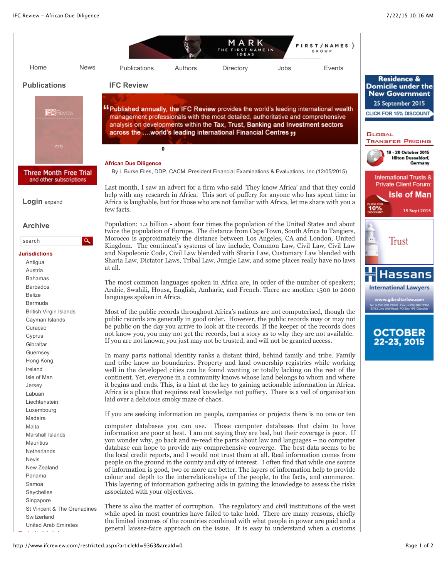